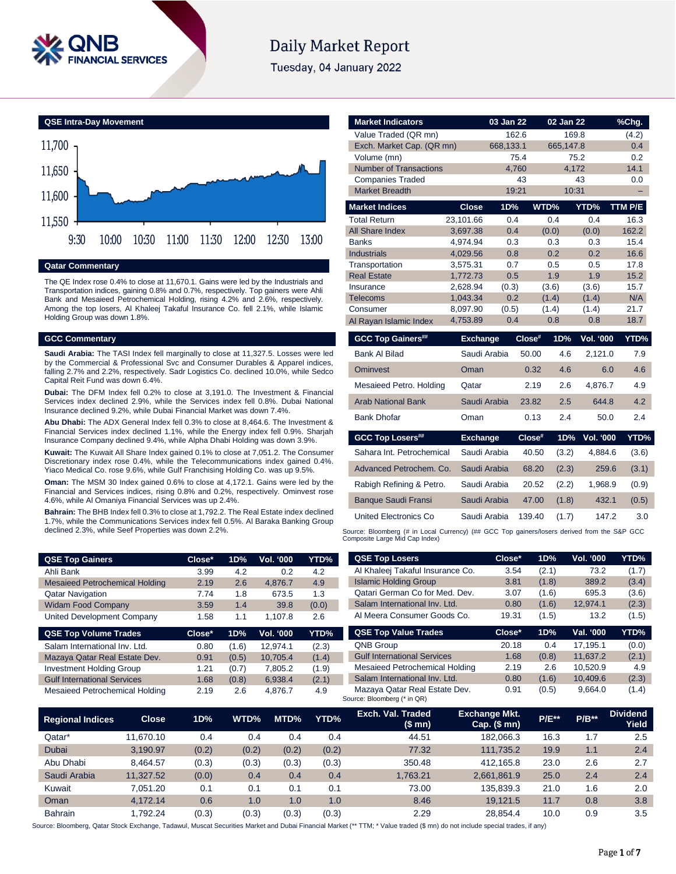

# **Daily Market Report**

Tuesday, 04 January 2022



#### **Qatar Commentary**

The QE Index rose 0.4% to close at 11,670.1. Gains were led by the Industrials and Transportation indices, gaining 0.8% and 0.7%, respectively. Top gainers were Ahli Bank and Mesaieed Petrochemical Holding, rising 4.2% and 2.6%, respectively. Among the top losers, Al Khaleej Takaful Insurance Co. fell 2.1%, while Islamic Holding Group was down 1.8%.

#### **GCC Commentary**

**Saudi Arabia:** The TASI Index fell marginally to close at 11,327.5. Losses were led by the Commercial & Professional Svc and Consumer Durables & Apparel indices, falling 2.7% and 2.2%, respectively. Sadr Logistics Co. declined 10.0%, while Sedco Capital Reit Fund was down 6.4%.

**Dubai:** The DFM Index fell 0.2% to close at 3,191.0. The Investment & Financial Services index declined 2.9%, while the Services index fell 0.8%. Dubai National Insurance declined 9.2%, while Dubai Financial Market was down 7.4%.

**Abu Dhabi:** The ADX General Index fell 0.3% to close at 8,464.6. The Investment & Financial Services index declined 1.1%, while the Energy index fell 0.9%. Sharjah Insurance Company declined 9.4%, while Alpha Dhabi Holding was down 3.9%.

**Kuwait:** The Kuwait All Share Index gained 0.1% to close at 7,051.2. The Consumer Discretionary index rose 0.4%, while the Telecommunications index gained 0.4%. Yiaco Medical Co. rose 9.6%, while Gulf Franchising Holding Co. was up 9.5%.

**Oman:** The MSM 30 Index gained 0.6% to close at 4,172.1. Gains were led by the Financial and Services indices, rising 0.8% and 0.2%, respectively. Ominvest rose 4.6%, while Al Omaniya Financial Services was up 2.4%.

**Bahrain:** The BHB Index fell 0.3% to close at 1,792.2. The Real Estate index declined 1.7%, while the Communications Services index fell 0.5%. Al Baraka Banking Group declined 2.3%, while Seef Properties was down 2.2%.

| <b>QSE Top Gainers</b>                | Close* | 1D% | Vol. '000 | YTD%  |
|---------------------------------------|--------|-----|-----------|-------|
| Ahli Bank                             | 3.99   | 4.2 | 0.2       | 4.2   |
| <b>Mesaieed Petrochemical Holding</b> | 2.19   | 2.6 | 4.876.7   | 4.9   |
| <b>Qatar Navigation</b>               | 7.74   | 1.8 | 673.5     | 1.3   |
| <b>Widam Food Company</b>             | 3.59   | 1.4 | 39.8      | (0.0) |
| United Development Company            | 1.58   | 1.1 | 1.107.8   | 2.6   |

| $Close^*$ | 1D%   | <b>Vol. '000</b> | YTD%  |
|-----------|-------|------------------|-------|
| 0.80      | (1.6) | 12.974.1         | (2.3) |
| 0.91      | (0.5) | 10.705.4         | (1.4) |
| 1.21      | (0.7) | 7,805.2          | (1.9) |
| 1.68      | (0.8) | 6.938.4          | (2.1) |
| 2.19      | 2.6   | 4.876.7          | 4.9   |
|           |       |                  |       |

| <b>Market Indicators</b>      |                 | 03 Jan 22    |        | 02 Jan 22 |                  | %Chg.   |
|-------------------------------|-----------------|--------------|--------|-----------|------------------|---------|
| Value Traded (QR mn)          |                 | 162.6        |        | 169.8     |                  | (4.2)   |
| Exch. Market Cap. (QR mn)     |                 | 668,133.1    |        | 665,147.8 |                  | 0.4     |
| Volume (mn)                   |                 |              | 75.4   |           | 75.2             | 0.2     |
| <b>Number of Transactions</b> |                 | 4,760        |        | 4,172     |                  | 14.1    |
| <b>Companies Traded</b>       |                 |              | 43     |           | 43               | 0.0     |
| <b>Market Breadth</b>         |                 | 19:21        |        | 10:31     |                  |         |
| <b>Market Indices</b>         | <b>Close</b>    | 1D%          |        | WTD%      | YTD%             | TTM P/E |
| <b>Total Return</b>           | 23,101.66       | 0.4          |        | 0.4       | 0.4              | 16.3    |
| All Share Index               | 3,697.38        | 0.4          |        | (0.0)     | (0.0)            | 162.2   |
| <b>Banks</b>                  | 4,974.94        | 0.3          |        | 0.3       | 0.3              | 15.4    |
| <b>Industrials</b>            | 4,029.56        | 0.8          |        | 0.2       | 0.2              | 16.6    |
| Transportation                | 3,575.31        | 0.7          |        | 0.5       | 0.5              | 17.8    |
| <b>Real Estate</b>            | 1,772.73        | 0.5          |        | 1.9       | 1.9              | 15.2    |
| Insurance                     | 2,628.94        | (0.3)        |        | (3.6)     | (3.6)            | 15.7    |
| <b>Telecoms</b>               | 1,043.34        | 0.2          |        | (1.4)     | (1.4)            | N/A     |
| Consumer                      | 8,097.90        | (0.5)        |        | (1.4)     | (1.4)            | 21.7    |
| Al Rayan Islamic Index        | 4,753.89        | 0.4          |        | 0.8       | 0.8              | 18.7    |
| <b>GCC Top Gainers##</b>      | <b>Exchange</b> |              | Close# | 1D%       | <b>Vol. '000</b> | YTD%    |
| <b>Bank Al Bilad</b>          |                 | Saudi Arabia | 50.00  | 4.6       | 2,121.0          | 7.9     |
| <b>Ominvest</b>               | Oman            |              | 0.32   | 4.6       | 6.0              | 4.6     |
| Mesaieed Petro. Holding       | Qatar           |              | 2.19   | 2.6       | 4,876.7          | 4.9     |
| <b>Arab National Bank</b>     |                 | Saudi Arabia | 23.82  | 2.5       | 644.8            | 4.2     |
| <b>Bank Dhofar</b>            | Oman            |              | 0.13   | 2.4       | 50.0             | 2.4     |
| <b>GCC Top Losers##</b>       | <b>Exchange</b> |              | Close# | 1D%       | Vol. '000        | YTD%    |
| Sahara Int. Petrochemical     |                 | Saudi Arabia | 40.50  | (3.2)     | 4,884.6          | (3.6)   |
| Advanced Petrochem, Co.       |                 | Saudi Arabia | 68.20  | (2.3)     | 259.6            | (3.1)   |
| Rabigh Refining & Petro.      |                 | Saudi Arabia | 20.52  | (2.2)     | 1,968.9          | (0.9)   |
| <b>Banque Saudi Fransi</b>    |                 | Saudi Arabia | 47.00  | (1.8)     | 432.1            | (0.5)   |
| <b>United Electronics Co</b>  | Saudi Arabia    |              | 139.40 | (1.7)     | 147.2            | 3.0     |

Source: Bloomberg (# in Local Currency) (## GCC Top gainers/losers derived from the S&P GCC<br>Composite Large Mid Cap Index)

| <b>QSE Top Losers</b>              | Close* | 1D%   | <b>Vol. '000</b> | YTD%  |
|------------------------------------|--------|-------|------------------|-------|
| Al Khaleej Takaful Insurance Co.   | 3.54   | (2.1) | 73.2             | (1.7) |
| <b>Islamic Holding Group</b>       | 3.81   | (1.8) | 389.2            | (3.4) |
| Qatari German Co for Med. Dev.     | 3.07   | (1.6) | 695.3            | (3.6) |
| Salam International Inv. Ltd.      | 0.80   | (1.6) | 12,974.1         | (2.3) |
| Al Meera Consumer Goods Co.        | 19.31  | (1.5) | 13.2             | (1.5) |
|                                    |        |       |                  |       |
| <b>QSE Top Value Trades</b>        | Close* | 1D%   | Val. '000        | YTD%  |
| QNB Group                          | 20.18  | 0.4   | 17.195.1         | (0.0) |
| <b>Gulf International Services</b> | 1.68   | (0.8) | 11,637.2         | (2.1) |
| Mesaieed Petrochemical Holding     | 2.19   | 2.6   | 10,520.9         | 4.9   |
| Salam International Inv. Ltd.      | 0.80   | (1.6) | 10,409.6         | (2.3) |

| <b>Regional Indices</b> | <b>Close</b> | 1D%   | WTD%  | MTD%  | YTD%  | Exch. Val. Traded<br>(\$ mn) | <b>Exchange Mkt.</b><br>$Cap.$ (\$ mn) | <b>P/E**</b> | $P/B**$ | <b>Dividend</b><br>Yield |
|-------------------------|--------------|-------|-------|-------|-------|------------------------------|----------------------------------------|--------------|---------|--------------------------|
| Qatar*                  | 11.670.10    | 0.4   | 0.4   | 0.4   | 0.4   | 44.51                        | 182.066.3                              | 16.3         | 1.7     | 2.5                      |
| <b>Dubai</b>            | 3.190.97     | (0.2) | (0.2) | (0.2) | (0.2) | 77.32                        | 111.735.2                              | 19.9         | 1.1     | 2.4                      |
| Abu Dhabi               | 8.464.57     | (0.3) | (0.3) | (0.3) | (0.3) | 350.48                       | 412.165.8                              | 23.0         | 2.6     | 2.7                      |
| Saudi Arabia            | 11.327.52    | (0.0) | 0.4   | 0.4   | 0.4   | 1.763.21                     | 2.661.861.9                            | 25.0         | 2.4     | 2.4                      |
| Kuwait                  | 7.051.20     | 0.1   | 0.1   | 0.1   | 0.1   | 73.00                        | 135.839.3                              | 21.0         | 1.6     | 2.0                      |
| Oman                    | 4.172.14     | 0.6   | 1.0   | 1.0   | 1.0   | 8.46                         | 19.121.5                               | 11.7         | 0.8     | 3.8                      |
| <b>Bahrain</b>          | 1.792.24     | (0.3) | (0.3) | (0.3) | (0.3) | 2.29                         | 28.854.4                               | 10.0         | 0.9     | 3.5                      |

Source: Bloomberg (\* in QR)

Source: Bloomberg, Qatar Stock Exchange, Tadawul, Muscat Securities Market and Dubai Financial Market (\*\* TTM; \* Value traded (\$ mn) do not include special trades, if any)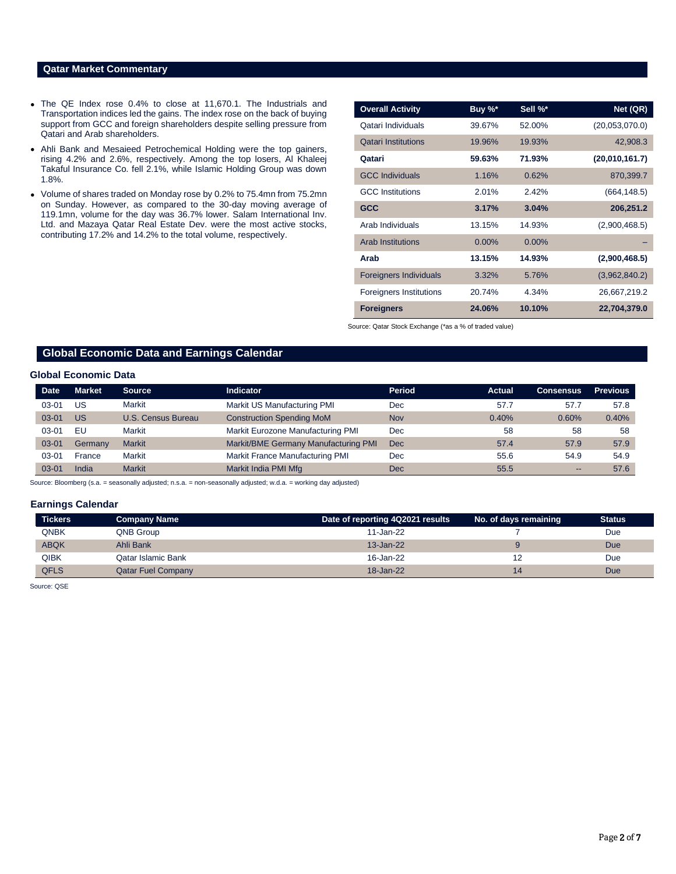## **Qatar Market Commentary**

- The QE Index rose 0.4% to close at 11,670.1. The Industrials and Transportation indices led the gains. The index rose on the back of buying support from GCC and foreign shareholders despite selling pressure from Qatari and Arab shareholders.
- Ahli Bank and Mesaieed Petrochemical Holding were the top gainers, rising 4.2% and 2.6%, respectively. Among the top losers, Al Khaleej Takaful Insurance Co. fell 2.1%, while Islamic Holding Group was down 1.8%.
- Volume of shares traded on Monday rose by 0.2% to 75.4mn from 75.2mn on Sunday. However, as compared to the 30-day moving average of 119.1mn, volume for the day was 36.7% lower. Salam International Inv. Ltd. and Mazaya Qatar Real Estate Dev. were the most active stocks, contributing 17.2% and 14.2% to the total volume, respectively.

| <b>Overall Activity</b>        | Buy %*   | Sell %*  | Net (QR)       |
|--------------------------------|----------|----------|----------------|
| Qatari Individuals             | 39.67%   | 52.00%   | (20,053,070.0) |
| <b>Qatari Institutions</b>     | 19.96%   | 19.93%   | 42,908.3       |
| Qatari                         | 59.63%   | 71.93%   | (20,010,161.7) |
| <b>GCC Individuals</b>         | 1.16%    | 0.62%    | 870,399.7      |
| <b>GCC</b> Institutions        | 2.01%    | 2.42%    | (664, 148.5)   |
| <b>GCC</b>                     | 3.17%    | 3.04%    | 206,251.2      |
| Arab Individuals               | 13.15%   | 14.93%   | (2,900,468.5)  |
| <b>Arab Institutions</b>       | $0.00\%$ | $0.00\%$ |                |
| Arab                           | 13.15%   | 14.93%   | (2,900,468.5)  |
| <b>Foreigners Individuals</b>  | 3.32%    | 5.76%    | (3,962,840.2)  |
| <b>Foreigners Institutions</b> | 20.74%   | 4.34%    | 26,667,219.2   |
| <b>Foreigners</b>              | 24.06%   | 10.10%   | 22,704,379.0   |

Source: Qatar Stock Exchange (\*as a % of traded value)

# **Global Economic Data and Earnings Calendar**

### **Global Economic Data**

| <b>Date</b> | <b>Market</b> | <b>Source</b>      | <b>Indicator</b>                     | <b>Period</b> | <b>Actual</b> | <b>Consensus</b>             | <b>Previous</b> |
|-------------|---------------|--------------------|--------------------------------------|---------------|---------------|------------------------------|-----------------|
| 03-01       | US            | Markit             | Markit US Manufacturing PMI          | Dec           | 57.7          | 57.7                         | 57.8            |
| $03 - 01$   | <b>US</b>     | U.S. Census Bureau | <b>Construction Spending MoM</b>     | <b>Nov</b>    | 0.40%         | 0.60%                        | 0.40%           |
| 03-01       | EU            | Markit             | Markit Eurozone Manufacturing PMI    | Dec           | 58            | 58                           | 58              |
| $03 - 01$   | Germany       | <b>Markit</b>      | Markit/BME Germany Manufacturing PMI | Dec           | 57.4          | 57.9                         | 57.9            |
| $03 - 01$   | France        | Markit             | Markit France Manufacturing PMI      | Dec           | 55.6          | 54.9                         | 54.9            |
| $03 - 01$   | India         | <b>Markit</b>      | Markit India PMI Mfg                 | Dec           | 55.5          | $\qquad \qquad \blacksquare$ | 57.6            |

Source: Bloomberg (s.a. = seasonally adjusted; n.s.a. = non-seasonally adjusted; w.d.a. = working day adjusted)

#### **Earnings Calendar**

| <b>Tickers</b> | Company Name              | Date of reporting 4Q2021 results | No. of days remaining | <b>Status</b> |
|----------------|---------------------------|----------------------------------|-----------------------|---------------|
| QNBK           | QNB Group                 | $11$ -Jan-22                     |                       | Due           |
| <b>ABQK</b>    | Ahli Bank                 | $13 - Jan-22$                    |                       | Due           |
| QIBK           | Qatar Islamic Bank        | 16-Jan-22                        |                       | Due           |
| <b>QFLS</b>    | <b>Qatar Fuel Company</b> | 18-Jan-22                        | 14                    | Due           |

Source: QSE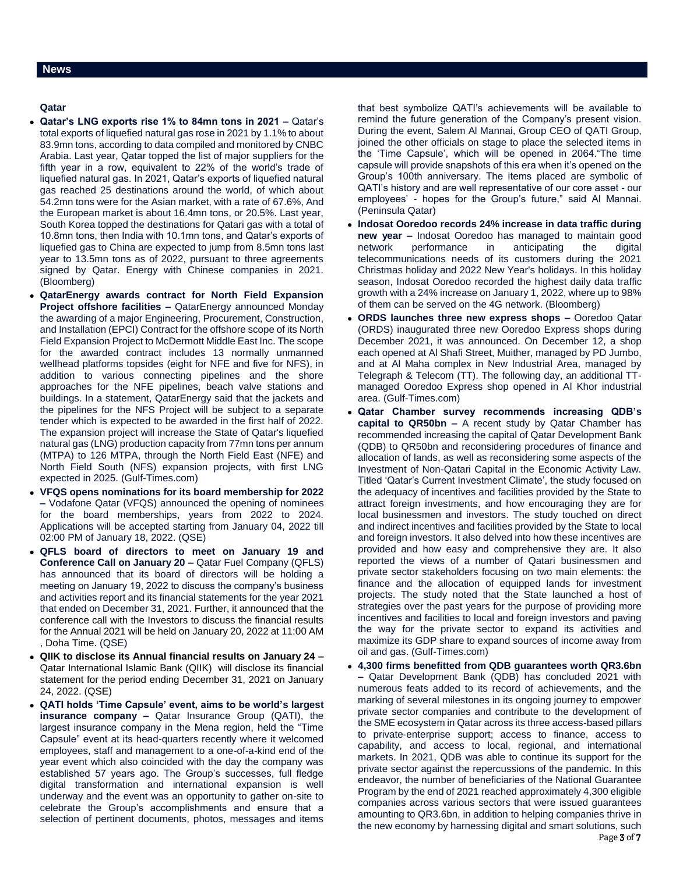# **Qatar**

- **Qatar's LNG exports rise 1% to 84mn tons in 2021 –** Qatar's total exports of liquefied natural gas rose in 2021 by 1.1% to about 83.9mn tons, according to data compiled and monitored by CNBC Arabia. Last year, Qatar topped the list of major suppliers for the fifth year in a row, equivalent to 22% of the world's trade of liquefied natural gas. In 2021, Qatar's exports of liquefied natural gas reached 25 destinations around the world, of which about 54.2mn tons were for the Asian market, with a rate of 67.6%, And the European market is about 16.4mn tons, or 20.5%. Last year, South Korea topped the destinations for Qatari gas with a total of 10.8mn tons, then India with 10.1mn tons, and Qatar's exports of liquefied gas to China are expected to jump from 8.5mn tons last year to 13.5mn tons as of 2022, pursuant to three agreements signed by Qatar. Energy with Chinese companies in 2021. (Bloomberg)
- **QatarEnergy awards contract for North Field Expansion Project offshore facilities –** QatarEnergy announced Monday the awarding of a major Engineering, Procurement, Construction, and Installation (EPCI) Contract for the offshore scope of its North Field Expansion Project to McDermott Middle East Inc. The scope for the awarded contract includes 13 normally unmanned wellhead platforms topsides (eight for NFE and five for NFS), in addition to various connecting pipelines and the shore approaches for the NFE pipelines, beach valve stations and buildings. In a statement, QatarEnergy said that the jackets and the pipelines for the NFS Project will be subject to a separate tender which is expected to be awarded in the first half of 2022. The expansion project will increase the State of Qatar's liquefied natural gas (LNG) production capacity from 77mn tons per annum (MTPA) to 126 MTPA, through the North Field East (NFE) and North Field South (NFS) expansion projects, with first LNG expected in 2025. (Gulf-Times.com)
- **VFQS opens nominations for its board membership for 2022 –** Vodafone Qatar (VFQS) announced the opening of nominees for the board memberships, years from 2022 to 2024. Applications will be accepted starting from January 04, 2022 till 02:00 PM of January 18, 2022. (QSE)
- **QFLS board of directors to meet on January 19 and Conference Call on January 20 –** Qatar Fuel Company (QFLS) has announced that its board of directors will be holding a meeting on January 19, 2022 to discuss the company's business and activities report and its financial statements for the year 2021 that ended on December 31, 2021. Further, it announced that the conference call with the Investors to discuss the financial results for the Annual 2021 will be held on January 20, 2022 at 11:00 AM , Doha Time. (QSE)
- **QIIK to disclose its Annual financial results on January 24 –** Qatar International Islamic Bank (QIIK) will disclose its financial statement for the period ending December 31, 2021 on January 24, 2022. (QSE)
- **QATI holds 'Time Capsule' event, aims to be world's largest insurance company –** Qatar Insurance Group (QATI), the largest insurance company in the Mena region, held the "Time Capsule" event at its head-quarters recently where it welcomed employees, staff and management to a one-of-a-kind end of the year event which also coincided with the day the company was established 57 years ago. The Group's successes, full fledge digital transformation and international expansion is well underway and the event was an opportunity to gather on-site to celebrate the Group's accomplishments and ensure that a selection of pertinent documents, photos, messages and items

that best symbolize QATI's achievements will be available to remind the future generation of the Company's present vision. During the event, Salem Al Mannai, Group CEO of QATI Group, joined the other officials on stage to place the selected items in the 'Time Capsule', which will be opened in 2064."The time capsule will provide snapshots of this era when it's opened on the Group's 100th anniversary. The items placed are symbolic of QATI's history and are well representative of our core asset - our employees' - hopes for the Group's future," said Al Mannai. (Peninsula Qatar)

- **Indosat Ooredoo records 24% increase in data traffic during new year –** Indosat Ooredoo has managed to maintain good network performance in anticipating the digital telecommunications needs of its customers during the 2021 Christmas holiday and 2022 New Year's holidays. In this holiday season, Indosat Ooredoo recorded the highest daily data traffic growth with a 24% increase on January 1, 2022, where up to 98% of them can be served on the 4G network. (Bloomberg)
- **ORDS launches three new express shops –** Ooredoo Qatar (ORDS) inaugurated three new Ooredoo Express shops during December 2021, it was announced. On December 12, a shop each opened at Al Shafi Street, Muither, managed by PD Jumbo, and at Al Maha complex in New Industrial Area, managed by Telegraph & Telecom (TT). The following day, an additional TTmanaged Ooredoo Express shop opened in Al Khor industrial area. (Gulf-Times.com)
- **Qatar Chamber survey recommends increasing QDB's capital to QR50bn –** A recent study by Qatar Chamber has recommended increasing the capital of Qatar Development Bank (QDB) to QR50bn and reconsidering procedures of finance and allocation of lands, as well as reconsidering some aspects of the Investment of Non-Qatari Capital in the Economic Activity Law. Titled 'Qatar's Current Investment Climate', the study focused on the adequacy of incentives and facilities provided by the State to attract foreign investments, and how encouraging they are for local businessmen and investors. The study touched on direct and indirect incentives and facilities provided by the State to local and foreign investors. It also delved into how these incentives are provided and how easy and comprehensive they are. It also reported the views of a number of Qatari businessmen and private sector stakeholders focusing on two main elements: the finance and the allocation of equipped lands for investment projects. The study noted that the State launched a host of strategies over the past years for the purpose of providing more incentives and facilities to local and foreign investors and paving the way for the private sector to expand its activities and maximize its GDP share to expand sources of income away from oil and gas. (Gulf-Times.com)
- **4,300 firms benefitted from QDB guarantees worth QR3.6bn –** Qatar Development Bank (QDB) has concluded 2021 with numerous feats added to its record of achievements, and the marking of several milestones in its ongoing journey to empower private sector companies and contribute to the development of the SME ecosystem in Qatar across its three access-based pillars to private-enterprise support; access to finance, access to capability, and access to local, regional, and international markets. In 2021, QDB was able to continue its support for the private sector against the repercussions of the pandemic. In this endeavor, the number of beneficiaries of the National Guarantee Program by the end of 2021 reached approximately 4,300 eligible companies across various sectors that were issued guarantees amounting to QR3.6bn, in addition to helping companies thrive in the new economy by harnessing digital and smart solutions, such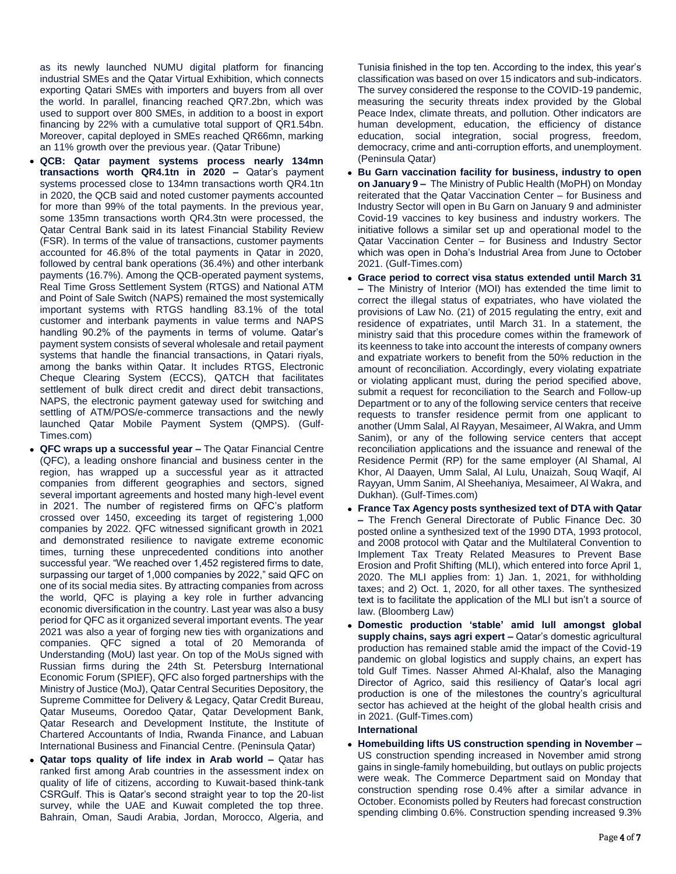as its newly launched NUMU digital platform for financing industrial SMEs and the Qatar Virtual Exhibition, which connects exporting Qatari SMEs with importers and buyers from all over the world. In parallel, financing reached QR7.2bn, which was used to support over 800 SMEs, in addition to a boost in export financing by 22% with a cumulative total support of QR1.54bn. Moreover, capital deployed in SMEs reached QR66mn, marking an 11% growth over the previous year. (Qatar Tribune)

- **QCB: Qatar payment systems process nearly 134mn transactions worth QR4.1tn in 2020 –** Qatar's payment systems processed close to 134mn transactions worth QR4.1tn in 2020, the QCB said and noted customer payments accounted for more than 99% of the total payments. In the previous year, some 135mn transactions worth QR4.3tn were processed, the Qatar Central Bank said in its latest Financial Stability Review (FSR). In terms of the value of transactions, customer payments accounted for 46.8% of the total payments in Qatar in 2020, followed by central bank operations (36.4%) and other interbank payments (16.7%). Among the QCB-operated payment systems, Real Time Gross Settlement System (RTGS) and National ATM and Point of Sale Switch (NAPS) remained the most systemically important systems with RTGS handling 83.1% of the total customer and interbank payments in value terms and NAPS handling 90.2% of the payments in terms of volume. Qatar's payment system consists of several wholesale and retail payment systems that handle the financial transactions, in Qatari riyals, among the banks within Qatar. It includes RTGS, Electronic Cheque Clearing System (ECCS), QATCH that facilitates settlement of bulk direct credit and direct debit transactions, NAPS, the electronic payment gateway used for switching and settling of ATM/POS/e-commerce transactions and the newly launched Qatar Mobile Payment System (QMPS). (Gulf-Times.com)
- **QFC wraps up a successful year –** The Qatar Financial Centre (QFC), a leading onshore financial and business center in the region, has wrapped up a successful year as it attracted companies from different geographies and sectors, signed several important agreements and hosted many high-level event in 2021. The number of registered firms on QFC's platform crossed over 1450, exceeding its target of registering 1,000 companies by 2022. QFC witnessed significant growth in 2021 and demonstrated resilience to navigate extreme economic times, turning these unprecedented conditions into another successful year. "We reached over 1,452 registered firms to date, surpassing our target of 1,000 companies by 2022," said QFC on one of its social media sites. By attracting companies from across the world, QFC is playing a key role in further advancing economic diversification in the country. Last year was also a busy period for QFC as it organized several important events. The year 2021 was also a year of forging new ties with organizations and companies. QFC signed a total of 20 Memoranda of Understanding (MoU) last year. On top of the MoUs signed with Russian firms during the 24th St. Petersburg International Economic Forum (SPIEF), QFC also forged partnerships with the Ministry of Justice (MoJ), Qatar Central Securities Depository, the Supreme Committee for Delivery & Legacy, Qatar Credit Bureau, Qatar Museums, Ooredoo Qatar, Qatar Development Bank, Qatar Research and Development Institute, the Institute of Chartered Accountants of India, Rwanda Finance, and Labuan International Business and Financial Centre. (Peninsula Qatar)
- **Qatar tops quality of life index in Arab world –** Qatar has ranked first among Arab countries in the assessment index on quality of life of citizens, according to Kuwait-based think-tank CSRGulf. This is Qatar's second straight year to top the 20-list survey, while the UAE and Kuwait completed the top three. Bahrain, Oman, Saudi Arabia, Jordan, Morocco, Algeria, and

Tunisia finished in the top ten. According to the index, this year's classification was based on over 15 indicators and sub-indicators. The survey considered the response to the COVID-19 pandemic, measuring the security threats index provided by the Global Peace Index, climate threats, and pollution. Other indicators are human development, education, the efficiency of distance education, social integration, social progress, freedom, democracy, crime and anti-corruption efforts, and unemployment. (Peninsula Qatar)

- **Bu Garn vaccination facility for business, industry to open on January 9 –** The Ministry of Public Health (MoPH) on Monday reiterated that the Qatar Vaccination Center – for Business and Industry Sector will open in Bu Garn on January 9 and administer Covid-19 vaccines to key business and industry workers. The initiative follows a similar set up and operational model to the Qatar Vaccination Center – for Business and Industry Sector which was open in Doha's Industrial Area from June to October 2021. (Gulf-Times.com)
- **Grace period to correct visa status extended until March 31 –** The Ministry of Interior (MOI) has extended the time limit to correct the illegal status of expatriates, who have violated the provisions of Law No. (21) of 2015 regulating the entry, exit and residence of expatriates, until March 31. In a statement, the ministry said that this procedure comes within the framework of its keenness to take into account the interests of company owners and expatriate workers to benefit from the 50% reduction in the amount of reconciliation. Accordingly, every violating expatriate or violating applicant must, during the period specified above, submit a request for reconciliation to the Search and Follow-up Department or to any of the following service centers that receive requests to transfer residence permit from one applicant to another (Umm Salal, Al Rayyan, Mesaimeer, Al Wakra, and Umm Sanim), or any of the following service centers that accept reconciliation applications and the issuance and renewal of the Residence Permit (RP) for the same employer (Al Shamal, Al Khor, Al Daayen, Umm Salal, Al Lulu, Unaizah, Souq Waqif, Al Rayyan, Umm Sanim, Al Sheehaniya, Mesaimeer, Al Wakra, and Dukhan). (Gulf-Times.com)
- **France Tax Agency posts synthesized text of DTA with Qatar –** The French General Directorate of Public Finance Dec. 30 posted online a synthesized text of the 1990 DTA, 1993 protocol, and 2008 protocol with Qatar and the Multilateral Convention to Implement Tax Treaty Related Measures to Prevent Base Erosion and Profit Shifting (MLI), which entered into force April 1, 2020. The MLI applies from: 1) Jan. 1, 2021, for withholding taxes; and 2) Oct. 1, 2020, for all other taxes. The synthesized text is to facilitate the application of the MLI but isn't a source of law. (Bloomberg Law)
- **Domestic production 'stable' amid lull amongst global supply chains, says agri expert –** Qatar's domestic agricultural production has remained stable amid the impact of the Covid-19 pandemic on global logistics and supply chains, an expert has told Gulf Times. Nasser Ahmed Al-Khalaf, also the Managing Director of Agrico, said this resiliency of Qatar's local agri production is one of the milestones the country's agricultural sector has achieved at the height of the global health crisis and in 2021. (Gulf-Times.com) **International**
- **Homebuilding lifts US construction spending in November –** US construction spending increased in November amid strong gains in single-family homebuilding, but outlays on public projects were weak. The Commerce Department said on Monday that construction spending rose 0.4% after a similar advance in October. Economists polled by Reuters had forecast construction spending climbing 0.6%. Construction spending increased 9.3%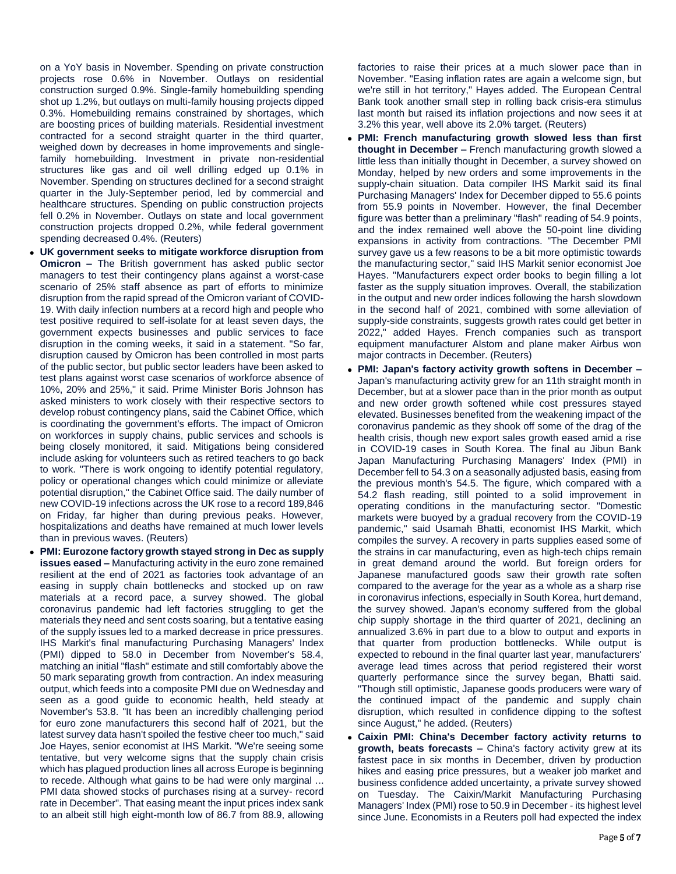on a YoY basis in November. Spending on private construction projects rose 0.6% in November. Outlays on residential construction surged 0.9%. Single-family homebuilding spending shot up 1.2%, but outlays on multi-family housing projects dipped 0.3%. Homebuilding remains constrained by shortages, which are boosting prices of building materials. Residential investment contracted for a second straight quarter in the third quarter, weighed down by decreases in home improvements and singlefamily homebuilding. Investment in private non-residential structures like gas and oil well drilling edged up 0.1% in November. Spending on structures declined for a second straight quarter in the July-September period, led by commercial and healthcare structures. Spending on public construction projects fell 0.2% in November. Outlays on state and local government construction projects dropped 0.2%, while federal government spending decreased 0.4%. (Reuters)

- **UK government seeks to mitigate workforce disruption from Omicron –** The British government has asked public sector managers to test their contingency plans against a worst-case scenario of 25% staff absence as part of efforts to minimize disruption from the rapid spread of the Omicron variant of COVID-19. With daily infection numbers at a record high and people who test positive required to self-isolate for at least seven days, the government expects businesses and public services to face disruption in the coming weeks, it said in a statement. "So far, disruption caused by Omicron has been controlled in most parts of the public sector, but public sector leaders have been asked to test plans against worst case scenarios of workforce absence of 10%, 20% and 25%," it said. Prime Minister Boris Johnson has asked ministers to work closely with their respective sectors to develop robust contingency plans, said the Cabinet Office, which is coordinating the government's efforts. The impact of Omicron on workforces in supply chains, public services and schools is being closely monitored, it said. Mitigations being considered include asking for volunteers such as retired teachers to go back to work. "There is work ongoing to identify potential regulatory, policy or operational changes which could minimize or alleviate potential disruption," the Cabinet Office said. The daily number of new COVID-19 infections across the UK rose to a record 189,846 on Friday, far higher than during previous peaks. However, hospitalizations and deaths have remained at much lower levels than in previous waves. (Reuters)
- **PMI: Eurozone factory growth stayed strong in Dec as supply issues eased –** Manufacturing activity in the euro zone remained resilient at the end of 2021 as factories took advantage of an easing in supply chain bottlenecks and stocked up on raw materials at a record pace, a survey showed. The global coronavirus pandemic had left factories struggling to get the materials they need and sent costs soaring, but a tentative easing of the supply issues led to a marked decrease in price pressures. IHS Markit's final manufacturing Purchasing Managers' Index (PMI) dipped to 58.0 in December from November's 58.4, matching an initial "flash" estimate and still comfortably above the 50 mark separating growth from contraction. An index measuring output, which feeds into a composite PMI due on Wednesday and seen as a good guide to economic health, held steady at November's 53.8. "It has been an incredibly challenging period for euro zone manufacturers this second half of 2021, but the latest survey data hasn't spoiled the festive cheer too much," said Joe Hayes, senior economist at IHS Markit. "We're seeing some tentative, but very welcome signs that the supply chain crisis which has plagued production lines all across Europe is beginning to recede. Although what gains to be had were only marginal ... PMI data showed stocks of purchases rising at a survey- record rate in December". That easing meant the input prices index sank to an albeit still high eight-month low of 86.7 from 88.9, allowing

factories to raise their prices at a much slower pace than in November. "Easing inflation rates are again a welcome sign, but we're still in hot territory," Hayes added. The European Central Bank took another small step in rolling back crisis-era stimulus last month but raised its inflation projections and now sees it at 3.2% this year, well above its 2.0% target. (Reuters)

- **PMI: French manufacturing growth slowed less than first thought in December –** French manufacturing growth slowed a little less than initially thought in December, a survey showed on Monday, helped by new orders and some improvements in the supply-chain situation. Data compiler IHS Markit said its final Purchasing Managers' Index for December dipped to 55.6 points from 55.9 points in November. However, the final December figure was better than a preliminary "flash" reading of 54.9 points, and the index remained well above the 50-point line dividing expansions in activity from contractions. "The December PMI survey gave us a few reasons to be a bit more optimistic towards the manufacturing sector," said IHS Markit senior economist Joe Hayes. "Manufacturers expect order books to begin filling a lot faster as the supply situation improves. Overall, the stabilization in the output and new order indices following the harsh slowdown in the second half of 2021, combined with some alleviation of supply-side constraints, suggests growth rates could get better in 2022," added Hayes. French companies such as transport equipment manufacturer Alstom and plane maker Airbus won major contracts in December. (Reuters)
- **PMI: Japan's factory activity growth softens in December –** Japan's manufacturing activity grew for an 11th straight month in December, but at a slower pace than in the prior month as output and new order growth softened while cost pressures stayed elevated. Businesses benefited from the weakening impact of the coronavirus pandemic as they shook off some of the drag of the health crisis, though new export sales growth eased amid a rise in COVID-19 cases in South Korea. The final au Jibun Bank Japan Manufacturing Purchasing Managers' Index (PMI) in December fell to 54.3 on a seasonally adjusted basis, easing from the previous month's 54.5. The figure, which compared with a 54.2 flash reading, still pointed to a solid improvement in operating conditions in the manufacturing sector. "Domestic markets were buoyed by a gradual recovery from the COVID-19 pandemic," said Usamah Bhatti, economist IHS Markit, which compiles the survey. A recovery in parts supplies eased some of the strains in car manufacturing, even as high-tech chips remain in great demand around the world. But foreign orders for Japanese manufactured goods saw their growth rate soften compared to the average for the year as a whole as a sharp rise in coronavirus infections, especially in South Korea, hurt demand, the survey showed. Japan's economy suffered from the global chip supply shortage in the third quarter of 2021, declining an annualized 3.6% in part due to a blow to output and exports in that quarter from production bottlenecks. While output is expected to rebound in the final quarter last year, manufacturers' average lead times across that period registered their worst quarterly performance since the survey began, Bhatti said. "Though still optimistic, Japanese goods producers were wary of the continued impact of the pandemic and supply chain disruption, which resulted in confidence dipping to the softest since August," he added. (Reuters)
- **Caixin PMI: China's December factory activity returns to growth, beats forecasts –** China's factory activity grew at its fastest pace in six months in December, driven by production hikes and easing price pressures, but a weaker job market and business confidence added uncertainty, a private survey showed on Tuesday. The Caixin/Markit Manufacturing Purchasing Managers' Index (PMI) rose to 50.9 in December - its highest level since June. Economists in a Reuters poll had expected the index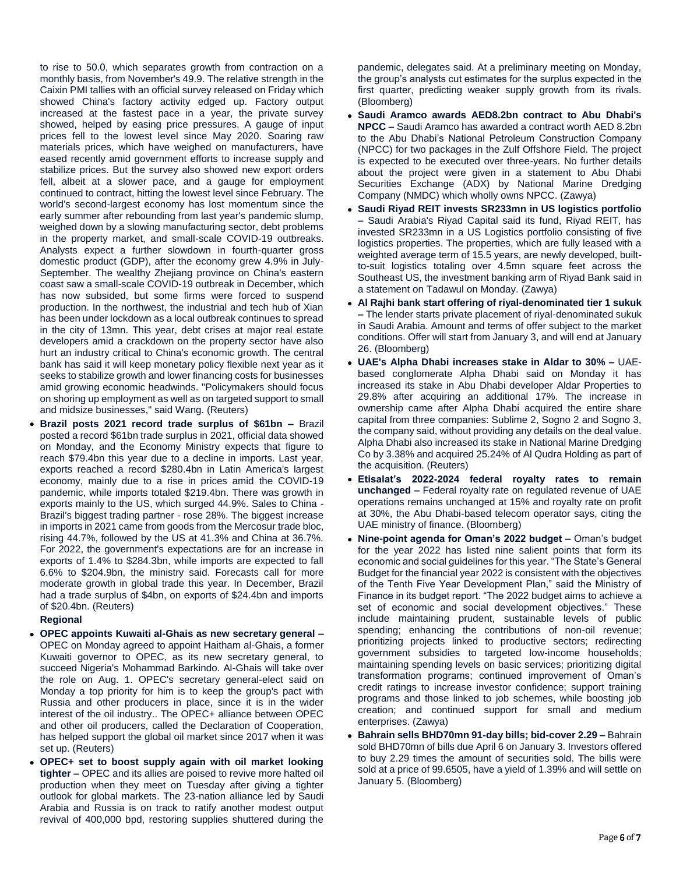to rise to 50.0, which separates growth from contraction on a monthly basis, from November's 49.9. The relative strength in the Caixin PMI tallies with an official survey released on Friday which showed China's factory activity edged up. Factory output increased at the fastest pace in a year, the private survey showed, helped by easing price pressures. A gauge of input prices fell to the lowest level since May 2020. Soaring raw materials prices, which have weighed on manufacturers, have eased recently amid government efforts to increase supply and stabilize prices. But the survey also showed new export orders fell, albeit at a slower pace, and a gauge for employment continued to contract, hitting the lowest level since February. The world's second-largest economy has lost momentum since the early summer after rebounding from last year's pandemic slump, weighed down by a slowing manufacturing sector, debt problems in the property market, and small-scale COVID-19 outbreaks. Analysts expect a further slowdown in fourth-quarter gross domestic product (GDP), after the economy grew 4.9% in July-September. The wealthy Zhejiang province on China's eastern coast saw a small-scale COVID-19 outbreak in December, which has now subsided, but some firms were forced to suspend production. In the northwest, the industrial and tech hub of Xian has been under lockdown as a local outbreak continues to spread in the city of 13mn. This year, debt crises at major real estate developers amid a crackdown on the property sector have also hurt an industry critical to China's economic growth. The central bank has said it will keep monetary policy flexible next year as it seeks to stabilize growth and lower financing costs for businesses amid growing economic headwinds. "Policymakers should focus on shoring up employment as well as on targeted support to small and midsize businesses," said Wang. (Reuters)

 **Brazil posts 2021 record trade surplus of \$61bn –** Brazil posted a record \$61bn trade surplus in 2021, official data showed on Monday, and the Economy Ministry expects that figure to reach \$79.4bn this year due to a decline in imports. Last year, exports reached a record \$280.4bn in Latin America's largest economy, mainly due to a rise in prices amid the COVID-19 pandemic, while imports totaled \$219.4bn. There was growth in exports mainly to the US, which surged 44.9%. Sales to China - Brazil's biggest trading partner - rose 28%. The biggest increase in imports in 2021 came from goods from the Mercosur trade bloc, rising 44.7%, followed by the US at 41.3% and China at 36.7%. For 2022, the government's expectations are for an increase in exports of 1.4% to \$284.3bn, while imports are expected to fall 6.6% to \$204.9bn, the ministry said. Forecasts call for more moderate growth in global trade this year. In December, Brazil had a trade surplus of \$4bn, on exports of \$24.4bn and imports of \$20.4bn. (Reuters)

#### **Regional**

- **OPEC appoints Kuwaiti al-Ghais as new secretary general –** OPEC on Monday agreed to appoint Haitham al-Ghais, a former Kuwaiti governor to OPEC, as its new secretary general, to succeed Nigeria's Mohammad Barkindo. Al-Ghais will take over the role on Aug. 1. OPEC's secretary general-elect said on Monday a top priority for him is to keep the group's pact with Russia and other producers in place, since it is in the wider interest of the oil industry.. The OPEC+ alliance between OPEC and other oil producers, called the Declaration of Cooperation, has helped support the global oil market since 2017 when it was set up. (Reuters)
- **OPEC+ set to boost supply again with oil market looking tighter –** OPEC and its allies are poised to revive more halted oil production when they meet on Tuesday after giving a tighter outlook for global markets. The 23-nation alliance led by Saudi Arabia and Russia is on track to ratify another modest output revival of 400,000 bpd, restoring supplies shuttered during the

pandemic, delegates said. At a preliminary meeting on Monday, the group's analysts cut estimates for the surplus expected in the first quarter, predicting weaker supply growth from its rivals. (Bloomberg)

- **Saudi Aramco awards AED8.2bn contract to Abu Dhabi's NPCC –** Saudi Aramco has awarded a contract worth AED 8.2bn to the Abu Dhabi's National Petroleum Construction Company (NPCC) for two packages in the Zulf Offshore Field. The project is expected to be executed over three-years. No further details about the project were given in a statement to Abu Dhabi Securities Exchange (ADX) by National Marine Dredging Company (NMDC) which wholly owns NPCC. (Zawya)
- **Saudi Riyad REIT invests SR233mn in US logistics portfolio –** Saudi Arabia's Riyad Capital said its fund, Riyad REIT, has invested SR233mn in a US Logistics portfolio consisting of five logistics properties. The properties, which are fully leased with a weighted average term of 15.5 years, are newly developed, builtto-suit logistics totaling over 4.5mn square feet across the Southeast US, the investment banking arm of Riyad Bank said in a statement on Tadawul on Monday. (Zawya)
- **Al Rajhi bank start offering of riyal-denominated tier 1 sukuk –** The lender starts private placement of riyal-denominated sukuk in Saudi Arabia. Amount and terms of offer subject to the market conditions. Offer will start from January 3, and will end at January 26. (Bloomberg)
- **UAE's Alpha Dhabi increases stake in Aldar to 30% –** UAEbased conglomerate Alpha Dhabi said on Monday it has increased its stake in Abu Dhabi developer Aldar Properties to 29.8% after acquiring an additional 17%. The increase in ownership came after Alpha Dhabi acquired the entire share capital from three companies: Sublime 2, Sogno 2 and Sogno 3, the company said, without providing any details on the deal value. Alpha Dhabi also increased its stake in National Marine Dredging Co by 3.38% and acquired 25.24% of Al Qudra Holding as part of the acquisition. (Reuters)
- **Etisalat's 2022-2024 federal royalty rates to remain unchanged –** Federal royalty rate on regulated revenue of UAE operations remains unchanged at 15% and royalty rate on profit at 30%, the Abu Dhabi-based telecom operator says, citing the UAE ministry of finance. (Bloomberg)
- **Nine-point agenda for Oman's 2022 budget –** Oman's budget for the year 2022 has listed nine salient points that form its economic and social guidelines for this year. "The State's General Budget for the financial year 2022 is consistent with the objectives of the Tenth Five Year Development Plan," said the Ministry of Finance in its budget report. "The 2022 budget aims to achieve a set of economic and social development objectives." These include maintaining prudent, sustainable levels of public spending; enhancing the contributions of non-oil revenue; prioritizing projects linked to productive sectors; redirecting government subsidies to targeted low-income households; maintaining spending levels on basic services; prioritizing digital transformation programs; continued improvement of Oman's credit ratings to increase investor confidence; support training programs and those linked to job schemes, while boosting job creation; and continued support for small and medium enterprises. (Zawya)
- **Bahrain sells BHD70mn 91-day bills; bid-cover 2.29 –** Bahrain sold BHD70mn of bills due April 6 on January 3. Investors offered to buy 2.29 times the amount of securities sold. The bills were sold at a price of 99.6505, have a yield of 1.39% and will settle on January 5. (Bloomberg)